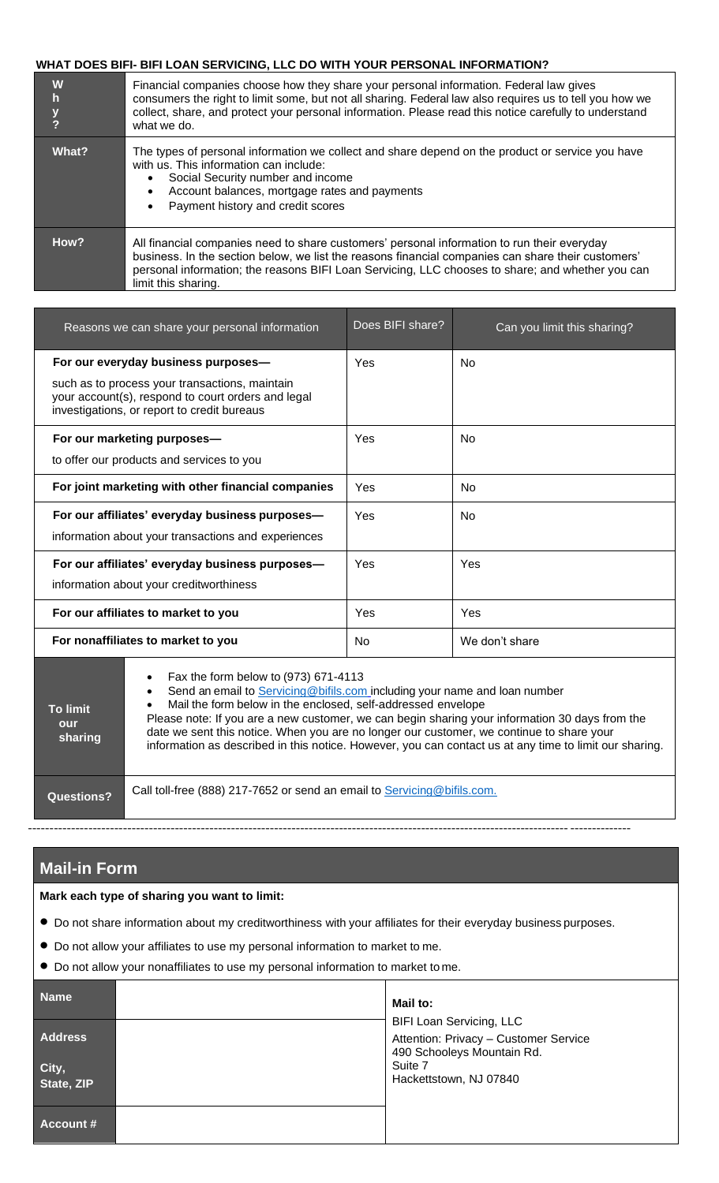## **WHAT DOES BIFI- BIFI LOAN SERVICING, LLC DO WITH YOUR PERSONAL INFORMATION?**

| W<br>$\mathsf{h}$<br>$\frac{y}{?}$ | Financial companies choose how they share your personal information. Federal law gives<br>consumers the right to limit some, but not all sharing. Federal law also requires us to tell you how we<br>collect, share, and protect your personal information. Please read this notice carefully to understand<br>what we do.   |  |
|------------------------------------|------------------------------------------------------------------------------------------------------------------------------------------------------------------------------------------------------------------------------------------------------------------------------------------------------------------------------|--|
| What?                              | The types of personal information we collect and share depend on the product or service you have<br>with us. This information can include:<br>Social Security number and income<br>Account balances, mortgage rates and payments<br>Payment history and credit scores                                                        |  |
| How?                               | All financial companies need to share customers' personal information to run their everyday<br>business. In the section below, we list the reasons financial companies can share their customers'<br>personal information; the reasons BIFI Loan Servicing, LLC chooses to share; and whether you can<br>limit this sharing. |  |

| Reasons we can share your personal information                                                                                                      | Does BIFI share? | Can you limit this sharing? |
|-----------------------------------------------------------------------------------------------------------------------------------------------------|------------------|-----------------------------|
| For our everyday business purposes-                                                                                                                 | Yes              | Nο                          |
| such as to process your transactions, maintain<br>your account(s), respond to court orders and legal<br>investigations, or report to credit bureaus |                  |                             |
| For our marketing purposes-<br>to offer our products and services to you                                                                            | Yes              | No                          |
| For joint marketing with other financial companies                                                                                                  | Yes              | N <sub>0</sub>              |
| For our affiliates' everyday business purposes-<br>information about your transactions and experiences                                              | Yes              | No                          |
| For our affiliates' everyday business purposes-<br>information about your creditworthiness                                                          | Yes              | Yes                         |
| For our affiliates to market to you                                                                                                                 | Yes              | Yes                         |
| For nonaffiliates to market to you                                                                                                                  | No.              | We don't share              |
| Fax the form below to (973) 671-4113                                                                                                                |                  |                             |

| <b>To limit</b><br>our<br>sharing | Send an email to Servicing@bifils.com including your name and loan number<br>Mail the form below in the enclosed, self-addressed envelope<br>Please note: If you are a new customer, we can begin sharing your information 30 days from the<br>date we sent this notice. When you are no longer our customer, we continue to share your<br>information as described in this notice. However, you can contact us at any time to limit our sharing. |
|-----------------------------------|---------------------------------------------------------------------------------------------------------------------------------------------------------------------------------------------------------------------------------------------------------------------------------------------------------------------------------------------------------------------------------------------------------------------------------------------------|
| <b>Questions?</b>                 | Call toll-free (888) 217-7652 or send an email to Servicing@bifils.com.                                                                                                                                                                                                                                                                                                                                                                           |

## **Mail-in Form**

## **Mark each type of sharing you want to limit:**

• Do not share information about my creditworthiness with your affiliates for their everyday business purposes.

----------------------------------------------------------------------------------------------------------------------------- --------------

- Do not allow your affiliates to use my personal information to market to me.
- Do not allow your nonaffiliates to use my personal information to market to me.

| <b>Name</b><br><b>Address</b><br>City,<br>State, ZIP | Mail to:<br><b>BIFI Loan Servicing, LLC</b><br>Attention: Privacy - Customer Service<br>490 Schooleys Mountain Rd.<br>Suite 7<br>Hackettstown, NJ 07840 |
|------------------------------------------------------|---------------------------------------------------------------------------------------------------------------------------------------------------------|
| Account #                                            |                                                                                                                                                         |